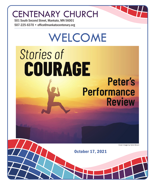## CENTENARY CHURCH

501 South Second Street, Mankato, MN 56001 507-225-6370 • office@mankatocentenary.org

# WELCOME **Stories of** COURAGE **Peter's Performance Review**

*Cover image by Kylie Beran*

October 17, 2021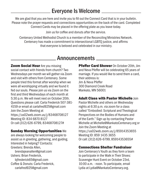### Everyone Is Welcome

We are glad that you are here and invite you to fill out the Connect Card that is in your bulletin. Please note the prayer requests and connections opportunities on the back of the card. Completed Connect Cards may be placed in the offering plate as you leave today.

Join us for coffee and donuts after the service.

Centenary United Methodist Church is a member of the Reconciling Ministries Network. Centenary has made a commitment to intersectional LGBTQ justice, and affirms that everyone is beloved and celebrated in our ministry.

### **Announcements**

**Zoom Social Hour** Are you missing social contact with friends from church? Two Wednesdays per month we will gather via Zoom and visit with others from Centenary. Some people tried this format after worship when we were all worshipping virtually and we found it fed our souls. Please join us via Zoom on the first and third Wednesdays of each month at 5:30 p.m. We will meet next on October 20th. Questions please call: Carla Frederick 507-381- 4159 or email at carlafred925@gmail.com Join the Zoom Meeting at https://us02web.zoom.us/j/83468708127 Meeting ID: 834 6870 8127 Or call (312) 626-6799, 83468708127#

#### Sunday Morning Opportunities We

are always looking for welcoming people to assist us in greeting, gathering, and guiding. Interested in helping? Contacts: Greeters: Brenda Allen,

brendajeanallen@gmail.com Ushers: Brian Frederick,

bjfrederick65@gmail.com Coffee & Donuts: Carla Frederick, carlafred925@gmail.com

Pfeffer Card Shower On October 20th, Jim and Neva Pfeffer will be celebrating 65 years of marriage. If you would like to send them a card, their address is: Jim & Neva Pfeffer 300 Diamond Creek Road Mankato, MN 56001

#### **Adult Class with Pastor Michelle Join**

Pastor Michelle and others on Wednesday nights at 6:30 p.m. via zoom for a class called "Embodied: Scriptural and Theological Perspectives on the Bodies of Humans and of the Earth." Sign up by contacting Pastor Michelle at Michelle@MankatoCentenary.org or Join the Zoom Meeting at https://us02web.zoom.us/j/85914353655 Meeting ID: 859 1435 3655 Or call: (312) 626-6799, 85914353655#

#### Connections Shelter Fundraiser

Join Centenary's Youth as they form a team to participate in the Walk in Their Shoes: Scavenger Hunt Event on October 23rd, 10:00 a.m. - noon. To participate, email Lydia at Lydia@MankatoCentenary.org.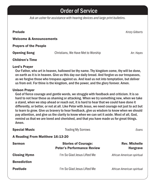### Order of Service

*Ask an usher for assistance with hearing devices and large print bulletins.*

Prelude *Kristy Gilberts*

Welcome & Announcements

Prayers of the People

Opening Song Christians, We Have Met to Worship *Arr. Hayes*

#### Children's Time

#### Lord's Prayer

Our Father, who art in heaven, hallowed be thy name. Thy kingdom come, thy will be done, on earth as it is in heaven. Give us this day our daily bread. And forgive us our trespasses, as we forgive those who trespass against us. And lead us not into temptation, but deliver us from evil. For thine is the kingdom, and the power, and the glory forever. Amen.

#### Unison Prayer

God of fierce courage and gentle words, we struggle with feedback and criticism. It is so hard to not hear these as shaming or attacking. When we try something new, when we take a stand, when we step ahead or reach out, it is hard to hear that we could have done it differently, or better, or not at all. Like Peter with Jesus, we need courage not just to act but to learn to grow. Give us bravery to hear feedback, give us wisdom to know when we should pay attention, and give us the clarity to know when we can set it aside. Most of all, God, remind us that we are loved and cherished, and that you have made us for great things. Amen.

**Special Music** Frading My Sorrows **Evans** *Evans* A Reading From Matthew 16:13-20 Sermon Stories of Courage: Sermon Rev. Michelle Peter's Performance Review **Franch Hargrave Closing Hymn** I'm So Glad Jesus Lifted Me *African American spiritual* **Benediction** Postlude I'm So Glad Jesus Lifted Me *African American spiritual*